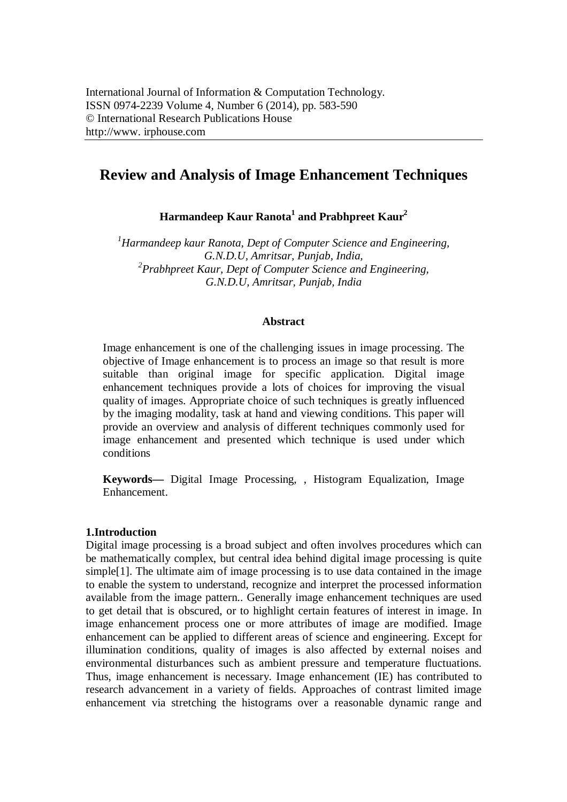# **Review and Analysis of Image Enhancement Techniques**

**Harmandeep Kaur Ranota<sup>1</sup> and Prabhpreet Kaur<sup>2</sup>**

*<sup>1</sup>Harmandeep kaur Ranota, Dept of Computer Science and Engineering, G.N.D.U, Amritsar, Punjab, India, 2 Prabhpreet Kaur, Dept of Computer Science and Engineering, G.N.D.U, Amritsar, Punjab, India*

#### **Abstract**

Image enhancement is one of the challenging issues in image processing. The objective of Image enhancement is to process an image so that result is more suitable than original image for specific application. Digital image enhancement techniques provide a lots of choices for improving the visual quality of images. Appropriate choice of such techniques is greatly influenced by the imaging modality, task at hand and viewing conditions. This paper will provide an overview and analysis of different techniques commonly used for image enhancement and presented which technique is used under which conditions

**Keywords—** Digital Image Processing, , Histogram Equalization, Image Enhancement.

#### **1.Introduction**

Digital image processing is a broad subject and often involves procedures which can be mathematically complex, but central idea behind digital image processing is quite simple[1]. The ultimate aim of image processing is to use data contained in the image to enable the system to understand, recognize and interpret the processed information available from the image pattern.. Generally image enhancement techniques are used to get detail that is obscured, or to highlight certain features of interest in image. In image enhancement process one or more attributes of image are modified. Image enhancement can be applied to different areas of science and engineering. Except for illumination conditions, quality of images is also affected by external noises and environmental disturbances such as ambient pressure and temperature fluctuations. Thus, image enhancement is necessary. Image enhancement (IE) has contributed to research advancement in a variety of fields. Approaches of contrast limited image enhancement via stretching the histograms over a reasonable dynamic range and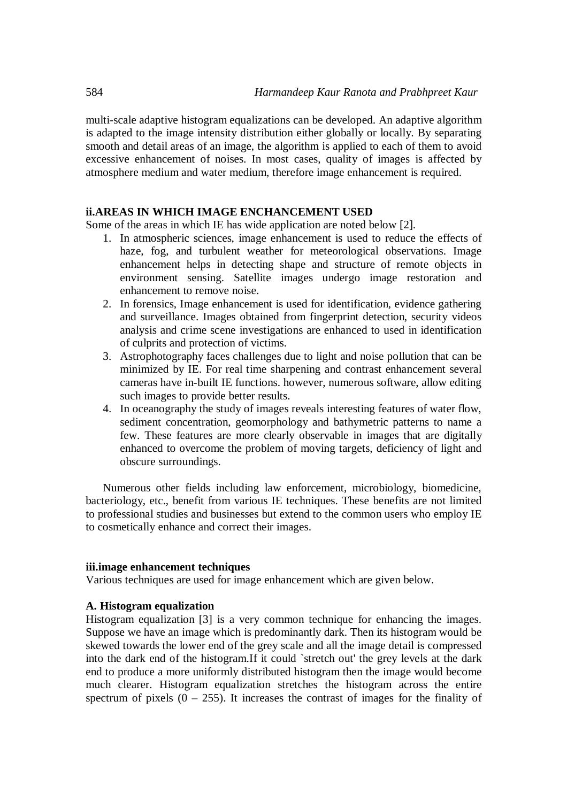multi-scale adaptive histogram equalizations can be developed. An adaptive algorithm is adapted to the image intensity distribution either globally or locally. By separating smooth and detail areas of an image, the algorithm is applied to each of them to avoid excessive enhancement of noises. In most cases, quality of images is affected by atmosphere medium and water medium, therefore image enhancement is required.

# **ii.AREAS IN WHICH IMAGE ENCHANCEMENT USED**

Some of the areas in which IE has wide application are noted below [2].

- 1. In atmospheric sciences, image enhancement is used to reduce the effects of haze, fog, and turbulent weather for meteorological observations. Image enhancement helps in detecting shape and structure of remote objects in environment sensing. Satellite images undergo image restoration and enhancement to remove noise.
- 2. In forensics, Image enhancement is used for identification, evidence gathering and surveillance. Images obtained from fingerprint detection, security videos analysis and crime scene investigations are enhanced to used in identification of culprits and protection of victims.
- 3. Astrophotography faces challenges due to light and noise pollution that can be minimized by IE. For real time sharpening and contrast enhancement several cameras have in-built IE functions. however, numerous software, allow editing such images to provide better results.
- 4. In oceanography the study of images reveals interesting features of water flow, sediment concentration, geomorphology and bathymetric patterns to name a few. These features are more clearly observable in images that are digitally enhanced to overcome the problem of moving targets, deficiency of light and obscure surroundings.

Numerous other fields including law enforcement, microbiology, biomedicine, bacteriology, etc., benefit from various IE techniques. These benefits are not limited to professional studies and businesses but extend to the common users who employ IE to cosmetically enhance and correct their images.

### **iii.image enhancement techniques**

Various techniques are used for image enhancement which are given below.

#### **A. Histogram equalization**

Histogram equalization [3] is a very common technique for enhancing the images. Suppose we have an image which is predominantly dark. Then its histogram would be skewed towards the lower end of the grey scale and all the image detail is compressed into the dark end of the histogram.If it could `stretch out' the grey levels at the dark end to produce a more uniformly distributed histogram then the image would become much clearer. Histogram equalization stretches the histogram across the entire spectrum of pixels  $(0 - 255)$ . It increases the contrast of images for the finality of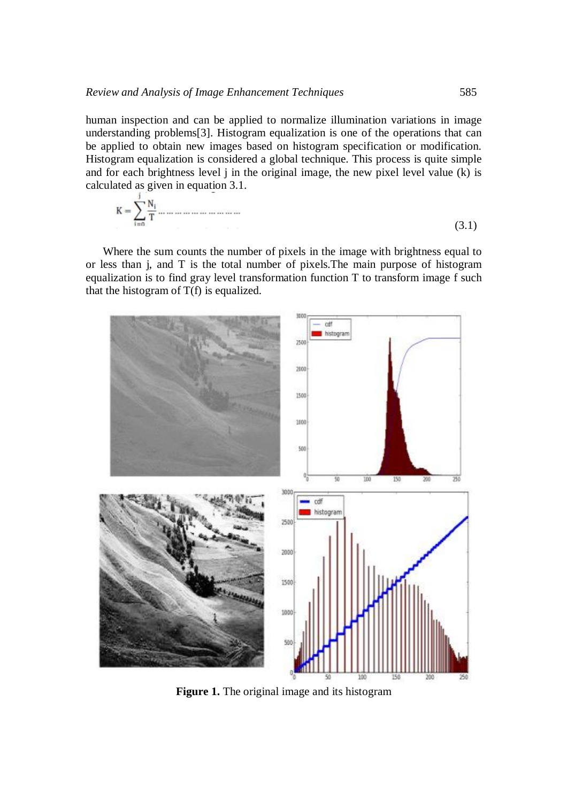human inspection and can be applied to normalize illumination variations in image understanding problems[3]. Histogram equalization is one of the operations that can be applied to obtain new images based on histogram specification or modification. Histogram equalization is considered a global technique. This process is quite simple and for each brightness level j in the original image, the new pixel level value (k) is calculated as given in equation 3.1.

(3.1)

Where the sum counts the number of pixels in the image with brightness equal to or less than j, and T is the total number of pixels.The main purpose of histogram equalization is to find gray level transformation function T to transform image f such that the histogram of  $T(f)$  is equalized.



**Figure 1.** The original image and its histogram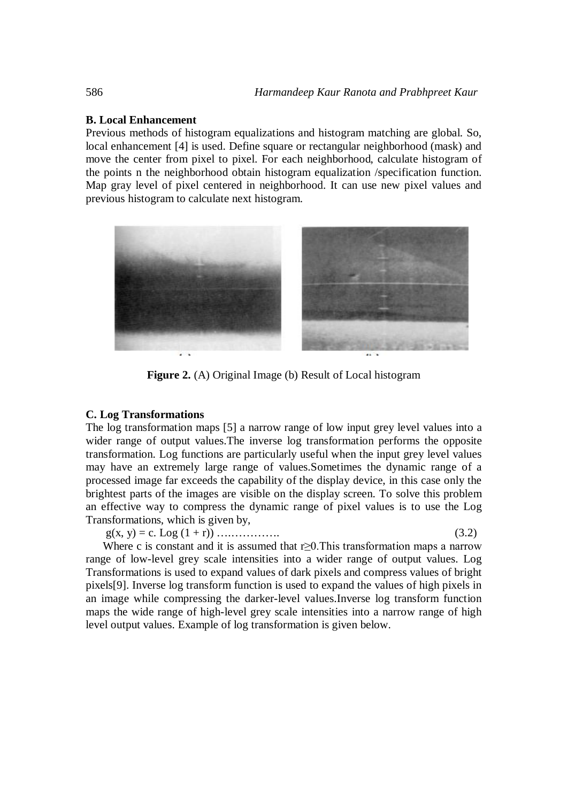# **B. Local Enhancement**

Previous methods of histogram equalizations and histogram matching are global. So, local enhancement [4] is used. Define square or rectangular neighborhood (mask) and move the center from pixel to pixel. For each neighborhood, calculate histogram of the points n the neighborhood obtain histogram equalization /specification function. Map gray level of pixel centered in neighborhood. It can use new pixel values and previous histogram to calculate next histogram.



**Figure 2.** (A) Original Image (b) Result of Local histogram

#### **C. Log Transformations**

The log transformation maps [5] a narrow range of low input grey level values into a wider range of output values.The inverse log transformation performs the opposite transformation. Log functions are particularly useful when the input grey level values may have an extremely large range of values.Sometimes the dynamic range of a processed image far exceeds the capability of the display device, in this case only the brightest parts of the images are visible on the display screen. To solve this problem an effective way to compress the dynamic range of pixel values is to use the Log Transformations, which is given by,

g(x, y) = c. Log (1 + r)) ….…………. (3.2)

Where c is constant and it is assumed that  $r \geq 0$ . This transformation maps a narrow range of low-level grey scale intensities into a wider range of output values. Log Transformations is used to expand values of dark pixels and compress values of bright pixels[9]. Inverse log transform function is used to expand the values of high pixels in an image while compressing the darker-level values.Inverse log transform function maps the wide range of high-level grey scale intensities into a narrow range of high level output values. Example of log transformation is given below.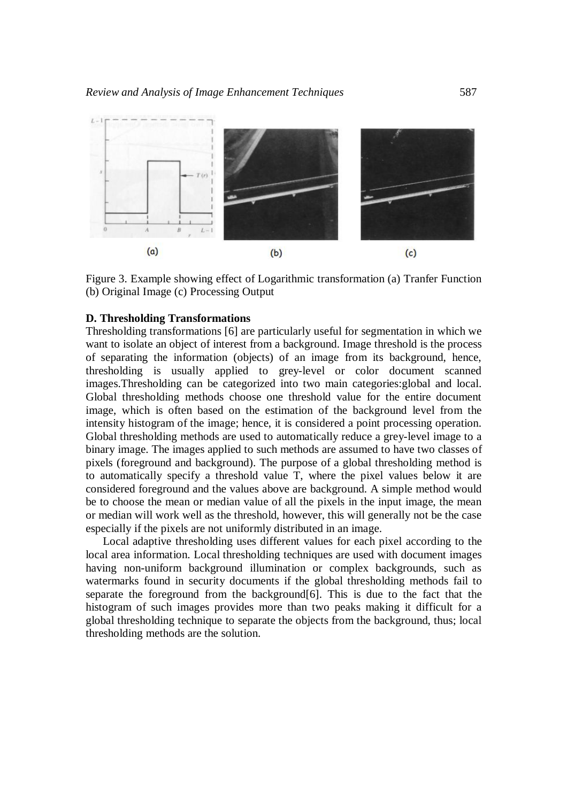

Figure 3. Example showing effect of Logarithmic transformation (a) Tranfer Function (b) Original Image (c) Processing Output

# **D. Thresholding Transformations**

Thresholding transformations [6] are particularly useful for segmentation in which we want to isolate an object of interest from a background. Image threshold is the process of separating the information (objects) of an image from its background, hence, thresholding is usually applied to grey-level or color document scanned images.Thresholding can be categorized into two main categories:global and local. Global thresholding methods choose one threshold value for the entire document image, which is often based on the estimation of the background level from the intensity histogram of the image; hence, it is considered a point processing operation. Global thresholding methods are used to automatically reduce a grey-level image to a binary image. The images applied to such methods are assumed to have two classes of pixels (foreground and background). The purpose of a global thresholding method is to automatically specify a threshold value T, where the pixel values below it are considered foreground and the values above are background. A simple method would be to choose the mean or median value of all the pixels in the input image, the mean or median will work well as the threshold, however, this will generally not be the case especially if the pixels are not uniformly distributed in an image.

Local adaptive thresholding uses different values for each pixel according to the local area information. Local thresholding techniques are used with document images having non-uniform background illumination or complex backgrounds, such as watermarks found in security documents if the global thresholding methods fail to separate the foreground from the background[6]. This is due to the fact that the histogram of such images provides more than two peaks making it difficult for a global thresholding technique to separate the objects from the background, thus; local thresholding methods are the solution.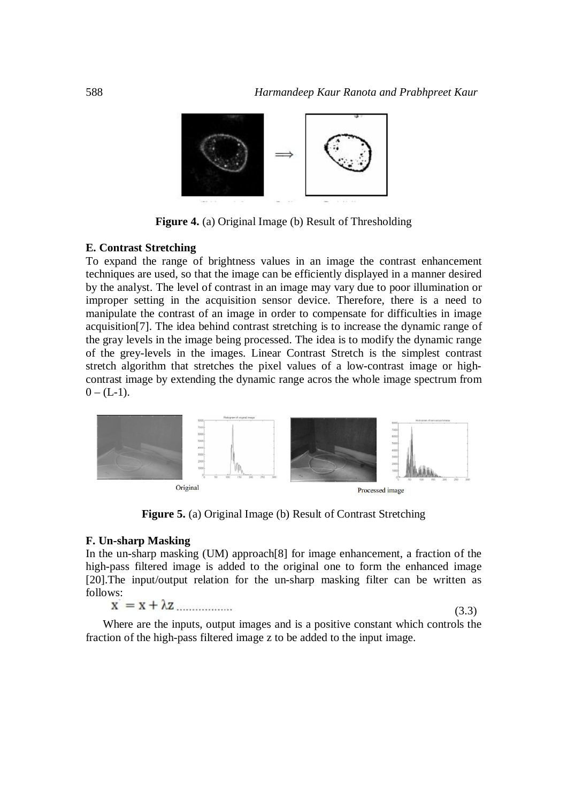

**Figure 4.** (a) Original Image (b) Result of Thresholding

#### **E. Contrast Stretching**

To expand the range of brightness values in an image the contrast enhancement techniques are used, so that the image can be efficiently displayed in a manner desired by the analyst. The level of contrast in an image may vary due to poor illumination or improper setting in the acquisition sensor device. Therefore, there is a need to manipulate the contrast of an image in order to compensate for difficulties in image acquisition[7]. The idea behind contrast stretching is to increase the dynamic range of the gray levels in the image being processed. The idea is to modify the dynamic range of the grey-levels in the images. Linear Contrast Stretch is the simplest contrast stretch algorithm that stretches the pixel values of a low-contrast image or highcontrast image by extending the dynamic range acros the whole image spectrum from  $0 - (L-1)$ .



**Figure 5.** (a) Original Image (b) Result of Contrast Stretching

#### **F. Un-sharp Masking**

In the un-sharp masking (UM) approach[8] for image enhancement, a fraction of the high-pass filtered image is added to the original one to form the enhanced image [20].The input/output relation for the un-sharp masking filter can be written as follows:<br> $\mathbf{x} = \mathbf{x} + \lambda \mathbf{z}$ .................

(3.3)

Where are the inputs, output images and is a positive constant which controls the fraction of the high-pass filtered image z to be added to the input image.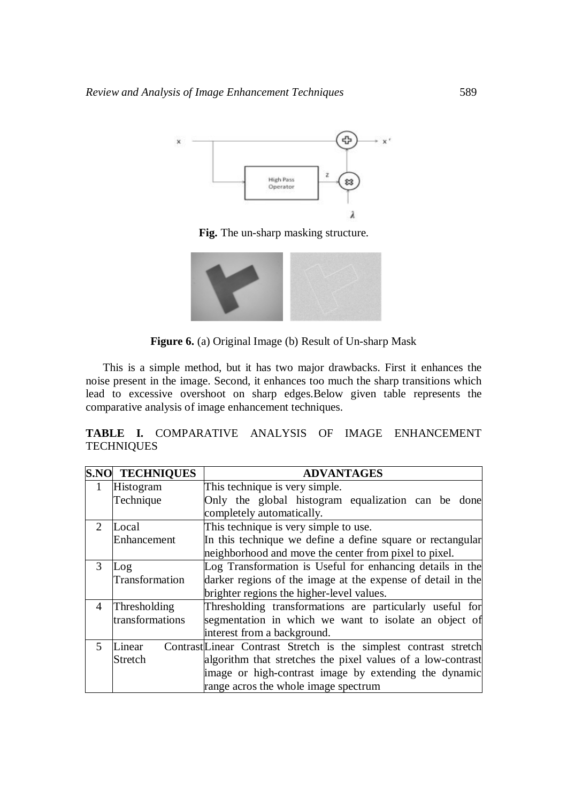

**Fig.** The un-sharp masking structure.



**Figure 6.** (a) Original Image (b) Result of Un-sharp Mask

This is a simple method, but it has two major drawbacks. First it enhances the noise present in the image. Second, it enhances too much the sharp transitions which lead to excessive overshoot on sharp edges.Below given table represents the comparative analysis of image enhancement techniques.

**TABLE I.** COMPARATIVE ANALYSIS OF IMAGE ENHANCEMENT **TECHNIQUES** 

|                | S.NO TECHNIQUES | <b>ADVANTAGES</b>                                                 |
|----------------|-----------------|-------------------------------------------------------------------|
| $\mathbf{1}$   | Histogram       | This technique is very simple.                                    |
|                | Technique       | Only the global histogram equalization can be done                |
|                |                 | completely automatically.                                         |
| 2              | Local           | This technique is very simple to use.                             |
|                | Enhancement     | In this technique we define a define square or rectangular        |
|                |                 | neighborhood and move the center from pixel to pixel.             |
| 3              | Log             | Log Transformation is Useful for enhancing details in the         |
|                | Transformation  | darker regions of the image at the expense of detail in the       |
|                |                 | brighter regions the higher-level values.                         |
| $\overline{4}$ | Thresholding    | Thresholding transformations are particularly useful for          |
|                | transformations | segmentation in which we want to isolate an object of             |
|                |                 | interest from a background.                                       |
| 5              | Linear          | Contrast Linear Contrast Stretch is the simplest contrast stretch |
|                | Stretch         | algorithm that stretches the pixel values of a low-contrast       |
|                |                 | image or high-contrast image by extending the dynamic             |
|                |                 | range acros the whole image spectrum                              |